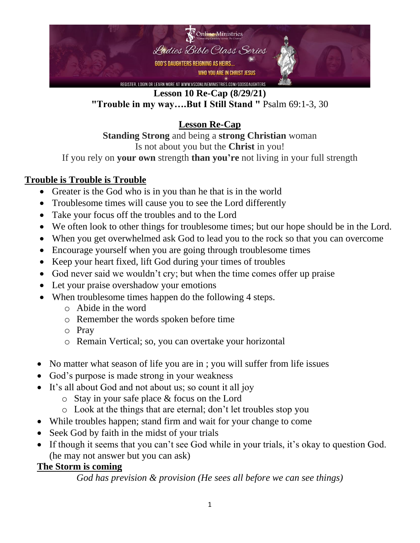

**Lesson 10 Re-Cap (8/29/21) "Trouble in my way….But I Still Stand "** Psalm 69:1-3, 30

**Lesson Re-Cap**

**Standing Strong** and being a **strong Christian** woman Is not about you but the **Christ** in you! If you rely on **your own** strength **than you're** not living in your full strength

## **Trouble is Trouble is Trouble**

- Greater is the God who is in you than he that is in the world
- Troublesome times will cause you to see the Lord differently
- Take your focus off the troubles and to the Lord
- We often look to other things for troublesome times; but our hope should be in the Lord.
- When you get overwhelmed ask God to lead you to the rock so that you can overcome
- Encourage yourself when you are going through troublesome times
- Keep your heart fixed, lift God during your times of troubles
- God never said we wouldn't cry; but when the time comes offer up praise
- Let your praise overshadow your emotions
- When troublesome times happen do the following 4 steps.
	- o Abide in the word
	- o Remember the words spoken before time
	- o Pray
	- o Remain Vertical; so, you can overtake your horizontal
- No matter what season of life you are in ; you will suffer from life issues
- God's purpose is made strong in your weakness
- It's all about God and not about us; so count it all joy
	- o Stay in your safe place & focus on the Lord
	- o Look at the things that are eternal; don't let troubles stop you
- While troubles happen; stand firm and wait for your change to come
- Seek God by faith in the midst of your trials
- If though it seems that you can't see God while in your trials, it's okay to question God. (he may not answer but you can ask)

## **The Storm is coming**

*God has prevision & provision (He sees all before we can see things)*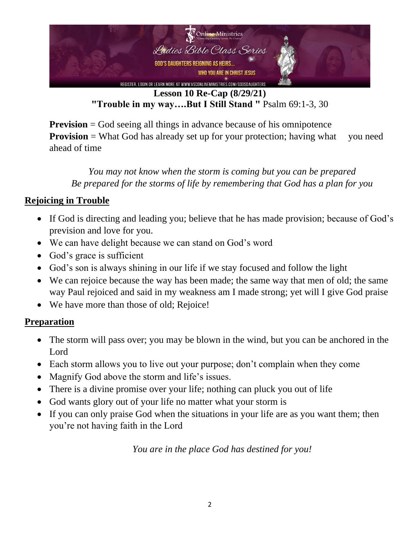

**Lesson 10 Re-Cap (8/29/21) "Trouble in my way….But I Still Stand "** Psalm 69:1-3, 30

**Prevision** = God seeing all things in advance because of his omnipotence **Provision** = What God has already set up for your protection; having what you need ahead of time

*You may not know when the storm is coming but you can be prepared Be prepared for the storms of life by remembering that God has a plan for you*

## **Rejoicing in Trouble**

- If God is directing and leading you; believe that he has made provision; because of God's prevision and love for you.
- We can have delight because we can stand on God's word
- God's grace is sufficient
- God's son is always shining in our life if we stay focused and follow the light
- We can rejoice because the way has been made; the same way that men of old; the same way Paul rejoiced and said in my weakness am I made strong; yet will I give God praise
- We have more than those of old; Rejoice!

## **Preparation**

- The storm will pass over; you may be blown in the wind, but you can be anchored in the Lord
- Each storm allows you to live out your purpose; don't complain when they come
- Magnify God above the storm and life's issues.
- There is a divine promise over your life; nothing can pluck you out of life
- God wants glory out of your life no matter what your storm is
- If you can only praise God when the situations in your life are as you want them; then you're not having faith in the Lord

*You are in the place God has destined for you!*